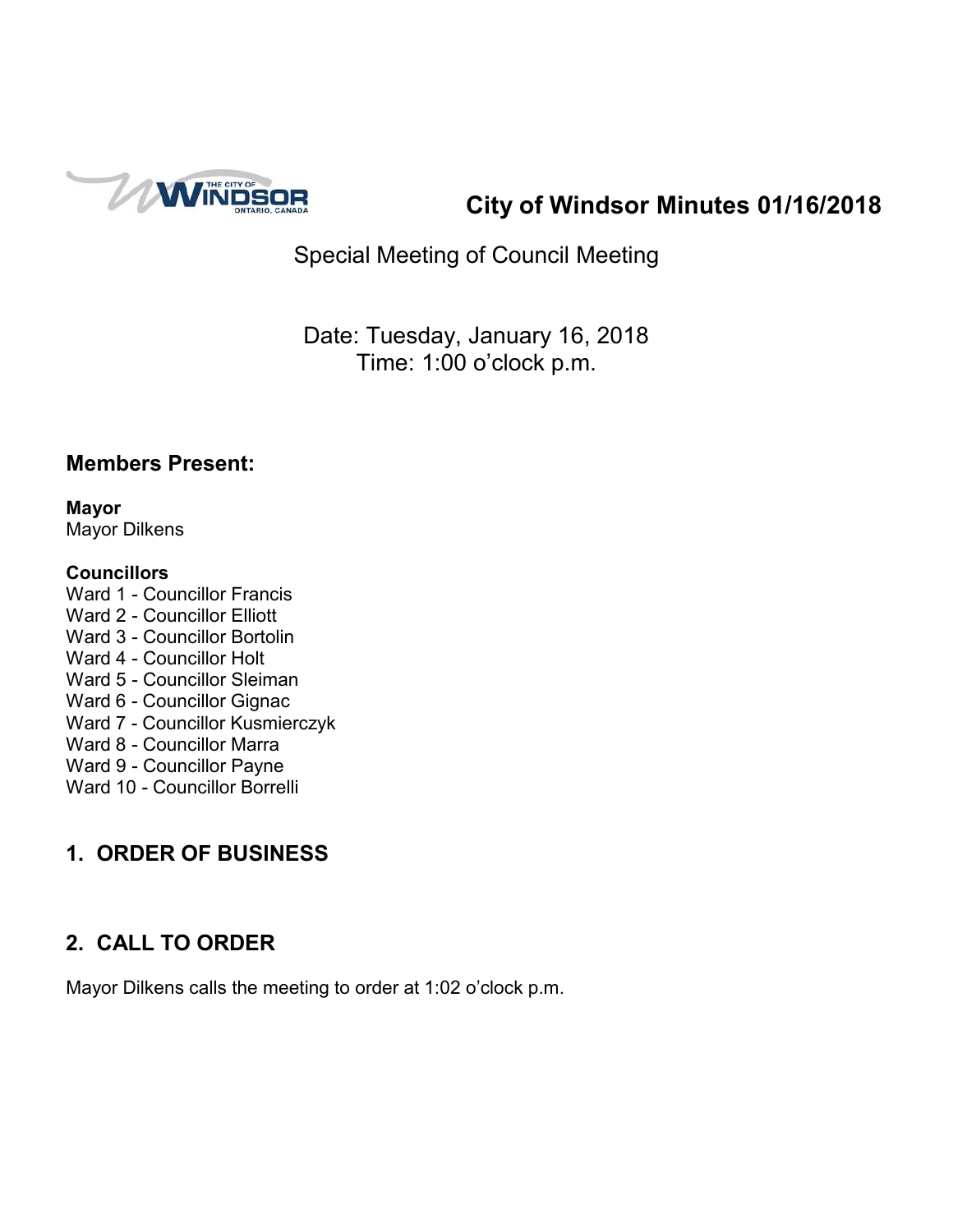

**City of Windsor Minutes 01/16/2018**

Special Meeting of Council Meeting

Date: Tuesday, January 16, 2018 Time: 1:00 o'clock p.m.

### **Members Present:**

**Mayor** Mayor Dilkens

#### **Councillors**

Ward 1 - Councillor Francis Ward 2 - Councillor Elliott Ward 3 - Councillor Bortolin Ward 4 - Councillor Holt Ward 5 - Councillor Sleiman Ward 6 - Councillor Gignac Ward 7 - Councillor Kusmierczyk Ward 8 - Councillor Marra Ward 9 - Councillor Payne Ward 10 - Councillor Borrelli

# **1. ORDER OF BUSINESS**

# **2. CALL TO ORDER**

Mayor Dilkens calls the meeting to order at 1:02 o'clock p.m.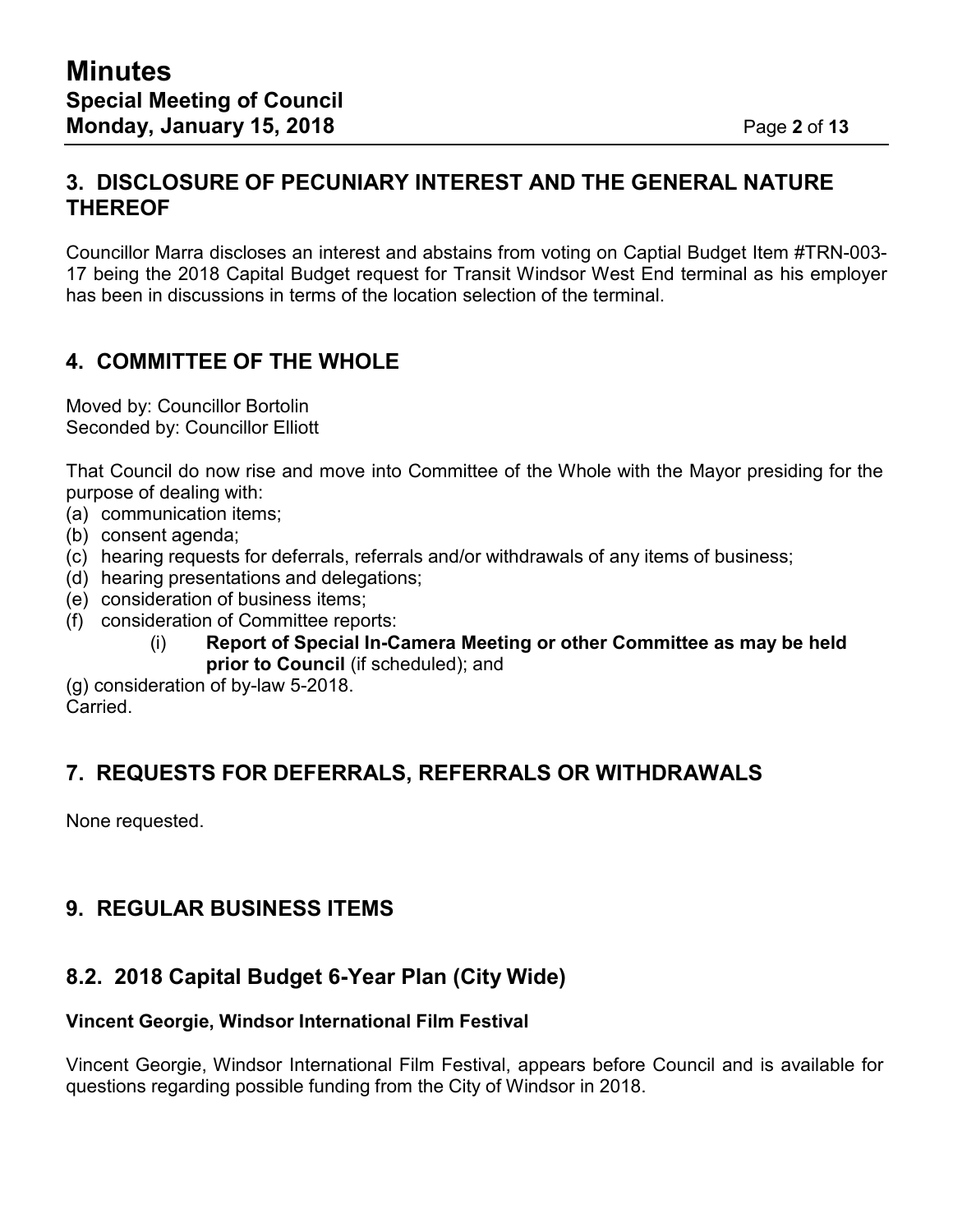Councillor Marra discloses an interest and abstains from voting on Captial Budget Item #TRN-003- 17 being the 2018 Capital Budget request for Transit Windsor West End terminal as his employer has been in discussions in terms of the location selection of the terminal.

## **4. COMMITTEE OF THE WHOLE**

Moved by: Councillor Bortolin Seconded by: Councillor Elliott

That Council do now rise and move into Committee of the Whole with the Mayor presiding for the purpose of dealing with:

- (a) communication items;
- (b) consent agenda;
- (c) hearing requests for deferrals, referrals and/or withdrawals of any items of business;
- (d) hearing presentations and delegations;
- (e) consideration of business items;
- (f) consideration of Committee reports:
	- (i) **Report of Special In-Camera Meeting or other Committee as may be held prior to Council** (if scheduled); and

(g) consideration of by-law 5-2018. **Carried** 

### **7. REQUESTS FOR DEFERRALS, REFERRALS OR WITHDRAWALS**

None requested.

## **9. REGULAR BUSINESS ITEMS**

## **8.2. 2018 Capital Budget 6-Year Plan (City Wide)**

#### **Vincent Georgie, Windsor International Film Festival**

Vincent Georgie, Windsor International Film Festival, appears before Council and is available for questions regarding possible funding from the City of Windsor in 2018.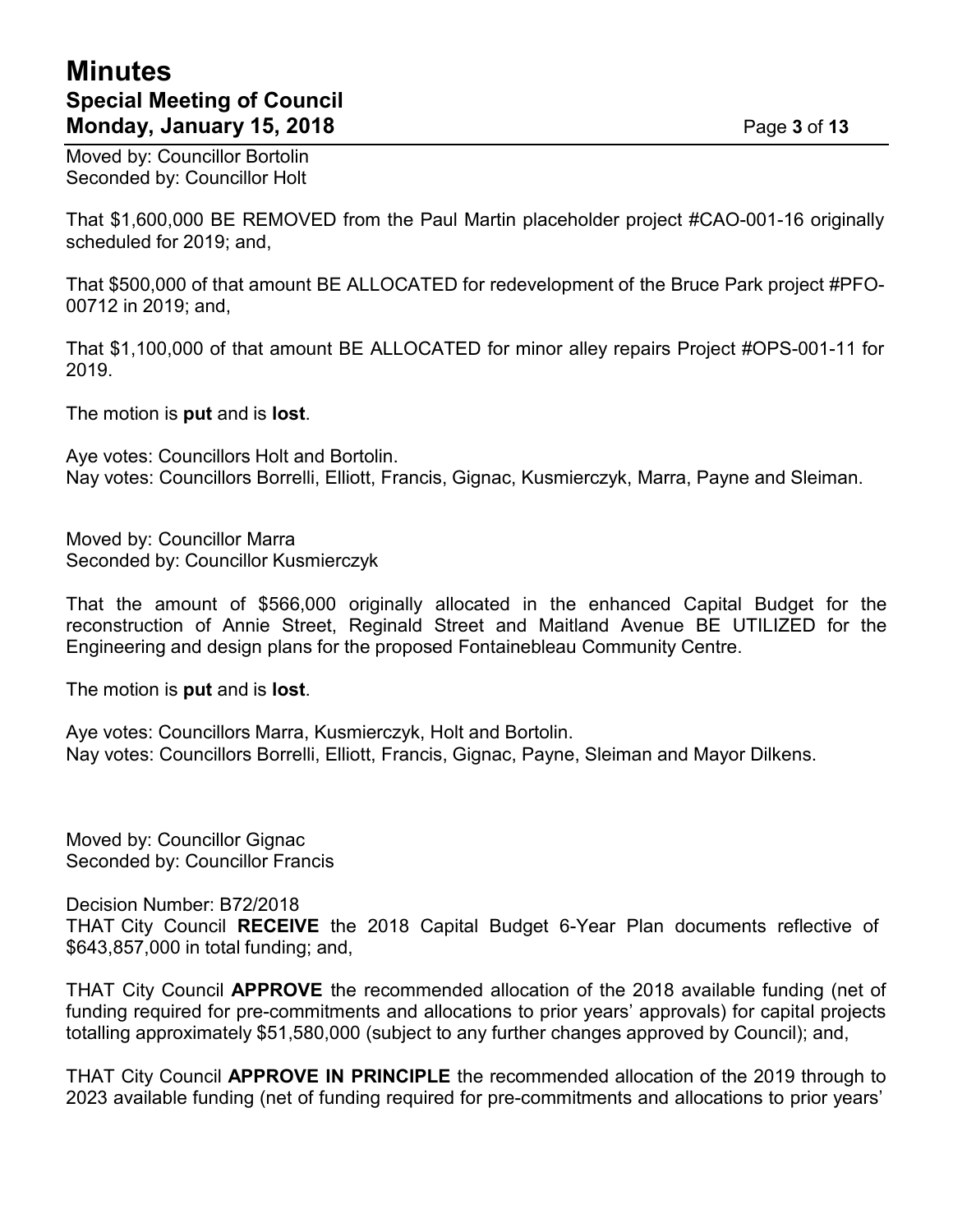## **Minutes Special Meeting of Council Monday, January 15, 2018** Page **3** of **13**

Moved by: Councillor Bortolin Seconded by: Councillor Holt

That \$1,600,000 BE REMOVED from the Paul Martin placeholder project #CAO-001-16 originally scheduled for 2019; and,

That \$500,000 of that amount BE ALLOCATED for redevelopment of the Bruce Park project #PFO-00712 in 2019; and,

That \$1,100,000 of that amount BE ALLOCATED for minor alley repairs Project #OPS-001-11 for 2019.

The motion is **put** and is **lost**.

Aye votes: Councillors Holt and Bortolin. Nay votes: Councillors Borrelli, Elliott, Francis, Gignac, Kusmierczyk, Marra, Payne and Sleiman.

Moved by: Councillor Marra Seconded by: Councillor Kusmierczyk

That the amount of \$566,000 originally allocated in the enhanced Capital Budget for the reconstruction of Annie Street, Reginald Street and Maitland Avenue BE UTILIZED for the Engineering and design plans for the proposed Fontainebleau Community Centre.

The motion is **put** and is **lost**.

Aye votes: Councillors Marra, Kusmierczyk, Holt and Bortolin. Nay votes: Councillors Borrelli, Elliott, Francis, Gignac, Payne, Sleiman and Mayor Dilkens.

Moved by: Councillor Gignac Seconded by: Councillor Francis

Decision Number: B72/2018 THAT City Council **RECEIVE** the 2018 Capital Budget 6-Year Plan documents reflective of \$643,857,000 in total funding; and,

THAT City Council **APPROVE** the recommended allocation of the 2018 available funding (net of funding required for pre-commitments and allocations to prior years' approvals) for capital projects totalling approximately \$51,580,000 (subject to any further changes approved by Council); and,

THAT City Council **APPROVE IN PRINCIPLE** the recommended allocation of the 2019 through to 2023 available funding (net of funding required for pre-commitments and allocations to prior years'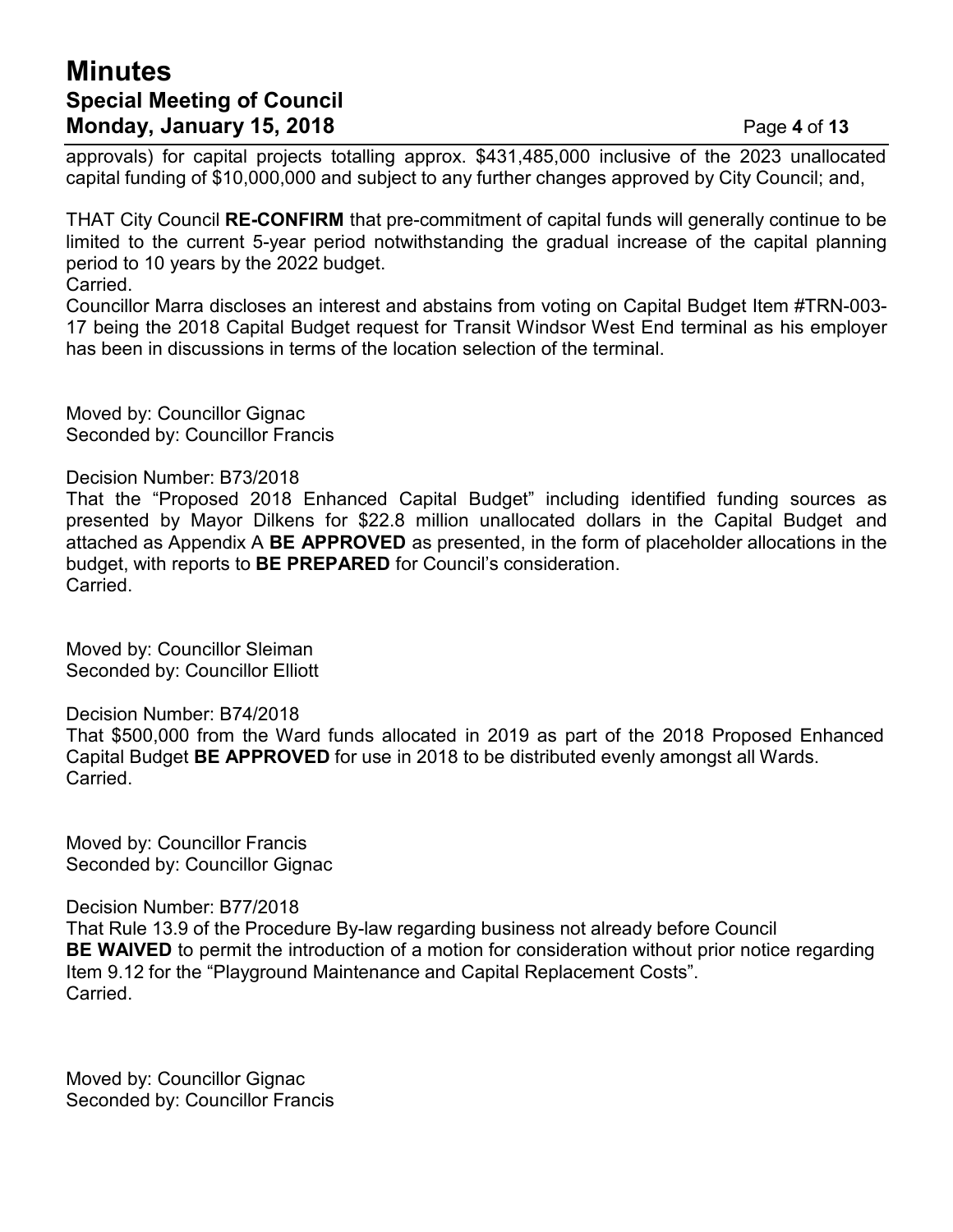## **Minutes Special Meeting of Council Monday, January 15, 2018** Page **4** of **13**

approvals) for capital projects totalling approx. \$431,485,000 inclusive of the 2023 unallocated capital funding of \$10,000,000 and subject to any further changes approved by City Council; and,

THAT City Council **RE-CONFIRM** that pre-commitment of capital funds will generally continue to be limited to the current 5-year period notwithstanding the gradual increase of the capital planning period to 10 years by the 2022 budget. Carried.

Councillor Marra discloses an interest and abstains from voting on Capital Budget Item #TRN-003- 17 being the 2018 Capital Budget request for Transit Windsor West End terminal as his employer has been in discussions in terms of the location selection of the terminal.

Moved by: Councillor Gignac Seconded by: Councillor Francis

#### Decision Number: B73/2018

That the "Proposed 2018 Enhanced Capital Budget" including identified funding sources as presented by Mayor Dilkens for \$22.8 million unallocated dollars in the Capital Budget and attached as Appendix A **BE APPROVED** as presented, in the form of placeholder allocations in the budget, with reports to **BE PREPARED** for Council's consideration. Carried.

Moved by: Councillor Sleiman Seconded by: Councillor Elliott

Decision Number: B74/2018

That \$500,000 from the Ward funds allocated in 2019 as part of the 2018 Proposed Enhanced Capital Budget **BE APPROVED** for use in 2018 to be distributed evenly amongst all Wards. Carried.

Moved by: Councillor Francis Seconded by: Councillor Gignac

Decision Number: B77/2018

That Rule 13.9 of the Procedure By-law regarding business not already before Council **BE WAIVED** to permit the introduction of a motion for consideration without prior notice regarding Item 9.12 for the "Playground Maintenance and Capital Replacement Costs". Carried.

Moved by: Councillor Gignac Seconded by: Councillor Francis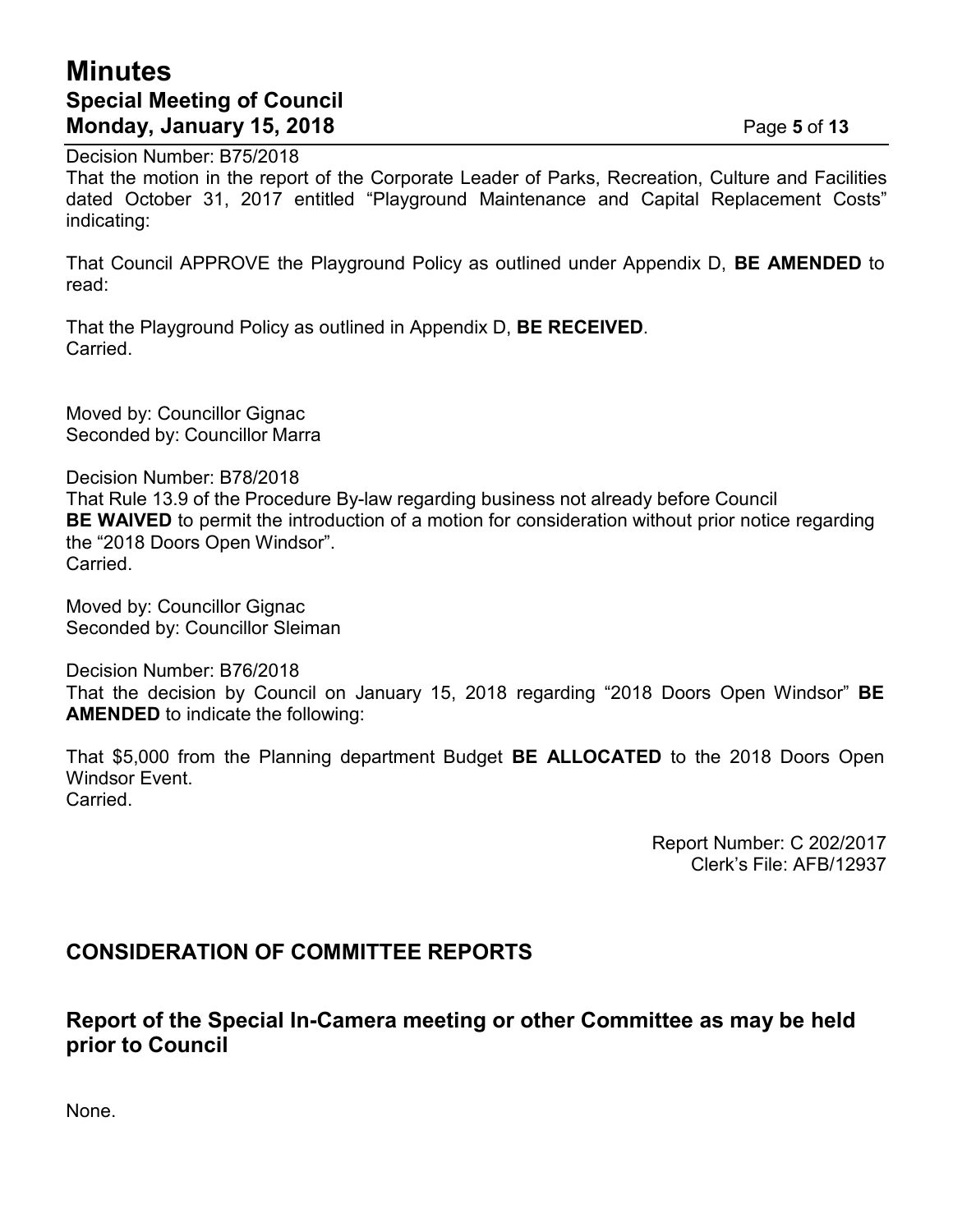## **Minutes Special Meeting of Council Monday, January 15, 2018** Page **5** of **13**

Decision Number: B75/2018

That the motion in the report of the Corporate Leader of Parks, Recreation, Culture and Facilities dated October 31, 2017 entitled "Playground Maintenance and Capital Replacement Costs" indicating:

That Council APPROVE the Playground Policy as outlined under Appendix D, **BE AMENDED** to read:

That the Playground Policy as outlined in Appendix D, **BE RECEIVED**. Carried.

Moved by: Councillor Gignac Seconded by: Councillor Marra

Decision Number: B78/2018 That Rule 13.9 of the Procedure By-law regarding business not already before Council **BE WAIVED** to permit the introduction of a motion for consideration without prior notice regarding the "2018 Doors Open Windsor". Carried.

Moved by: Councillor Gignac Seconded by: Councillor Sleiman

Decision Number: B76/2018 That the decision by Council on January 15, 2018 regarding "2018 Doors Open Windsor" **BE AMENDED** to indicate the following:

That \$5,000 from the Planning department Budget **BE ALLOCATED** to the 2018 Doors Open Windsor Event. Carried.

> Report Number: C 202/2017 Clerk's File: AFB/12937

#### **CONSIDERATION OF COMMITTEE REPORTS**

#### **Report of the Special In-Camera meeting or other Committee as may be held prior to Council**

None.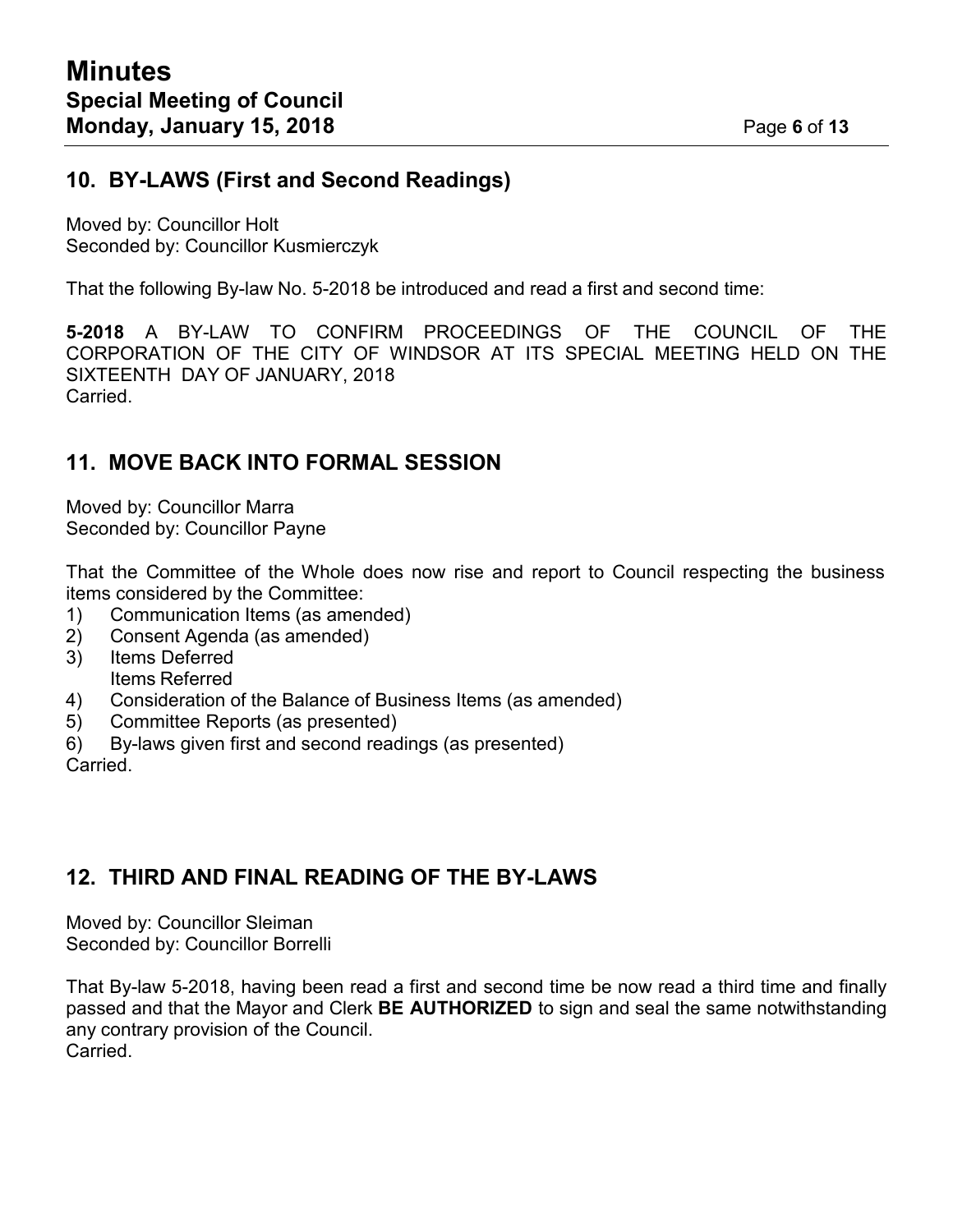#### **10. BY-LAWS (First and Second Readings)**

Moved by: Councillor Holt Seconded by: Councillor Kusmierczyk

That the following By-law No. 5-2018 be introduced and read a first and second time:

**5-2018** A BY-LAW TO CONFIRM PROCEEDINGS OF THE COUNCIL OF THE CORPORATION OF THE CITY OF WINDSOR AT ITS SPECIAL MEETING HELD ON THE SIXTEENTH DAY OF JANUARY, 2018 Carried.

#### **11. MOVE BACK INTO FORMAL SESSION**

Moved by: Councillor Marra Seconded by: Councillor Payne

That the Committee of the Whole does now rise and report to Council respecting the business items considered by the Committee:

- 1) Communication Items (as amended)
- 2) Consent Agenda (as amended)
- 3) Items Deferred Items Referred
- 4) Consideration of the Balance of Business Items (as amended)
- 5) Committee Reports (as presented)
- 6) By-laws given first and second readings (as presented)

Carried.

#### **12. THIRD AND FINAL READING OF THE BY-LAWS**

Moved by: Councillor Sleiman Seconded by: Councillor Borrelli

That By-law 5-2018, having been read a first and second time be now read a third time and finally passed and that the Mayor and Clerk **BE AUTHORIZED** to sign and seal the same notwithstanding any contrary provision of the Council. Carried.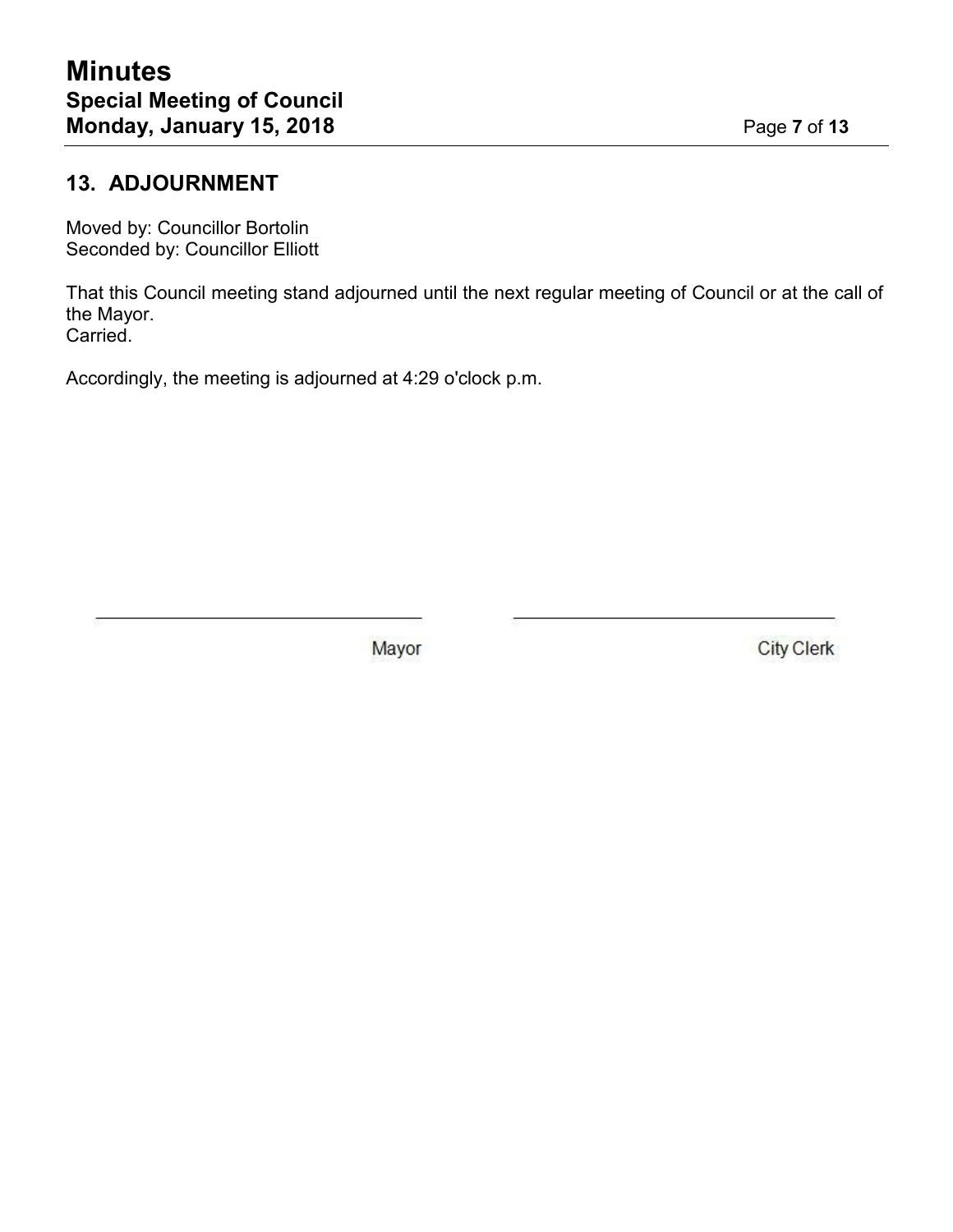### **13. ADJOURNMENT**

Moved by: Councillor Bortolin Seconded by: Councillor Elliott

That this Council meeting stand adjourned until the next regular meeting of Council or at the call of the Mayor. Carried.

Accordingly, the meeting is adjourned at 4:29 o'clock p.m.

Mayor

**City Clerk**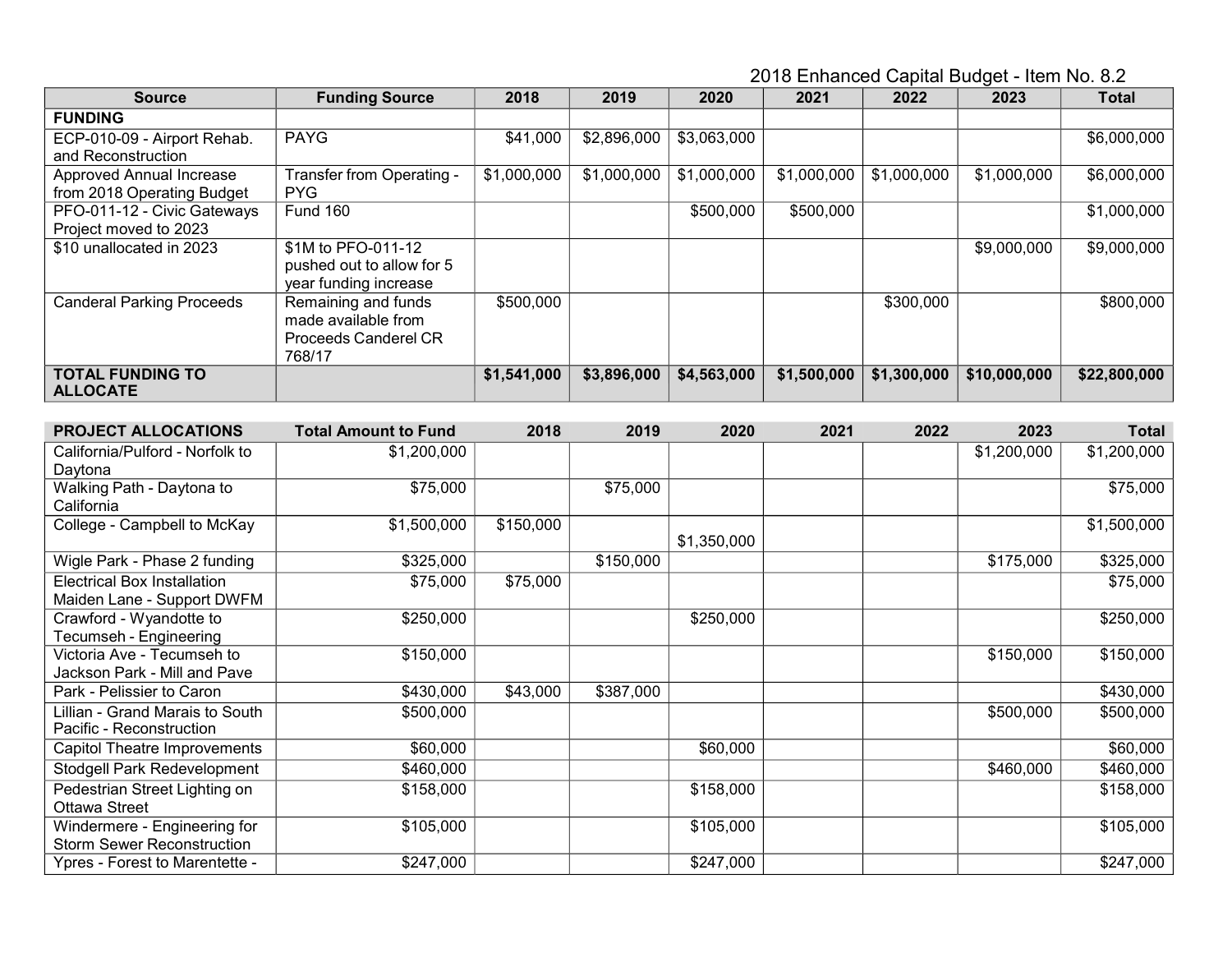2018 Enhanced Capital Budget - Item No. 8.2

| <b>Source</b>                    | <b>Funding Source</b>       | 2018        | 2019        | 2020        | 2021        | 2022        | 2023         | <b>Total</b> |
|----------------------------------|-----------------------------|-------------|-------------|-------------|-------------|-------------|--------------|--------------|
| <b>FUNDING</b>                   |                             |             |             |             |             |             |              |              |
| ECP-010-09 - Airport Rehab.      | <b>PAYG</b>                 | \$41,000    | \$2,896,000 | \$3,063,000 |             |             |              | \$6,000,000  |
| and Reconstruction               |                             |             |             |             |             |             |              |              |
| Approved Annual Increase         | Transfer from Operating -   | \$1,000,000 | \$1,000,000 | \$1,000,000 | \$1,000,000 | \$1,000,000 | \$1,000,000  | \$6,000,000  |
| from 2018 Operating Budget       | <b>PYG</b>                  |             |             |             |             |             |              |              |
| PFO-011-12 - Civic Gateways      | <b>Fund 160</b>             |             |             | \$500,000   | \$500,000   |             |              | \$1,000,000  |
| Project moved to 2023            |                             |             |             |             |             |             |              |              |
| \$10 unallocated in 2023         | \$1M to PFO-011-12          |             |             |             |             |             | \$9,000,000  | \$9,000,000  |
|                                  | pushed out to allow for 5   |             |             |             |             |             |              |              |
|                                  | year funding increase       |             |             |             |             |             |              |              |
| <b>Canderal Parking Proceeds</b> | Remaining and funds         | \$500,000   |             |             |             | \$300,000   |              | \$800,000    |
|                                  | made available from         |             |             |             |             |             |              |              |
|                                  | <b>Proceeds Canderel CR</b> |             |             |             |             |             |              |              |
|                                  | 768/17                      |             |             |             |             |             |              |              |
| <b>TOTAL FUNDING TO</b>          |                             | \$1,541,000 | \$3,896,000 | \$4,563,000 | \$1,500,000 | \$1,300,000 | \$10,000,000 | \$22,800,000 |
| <b>ALLOCATE</b>                  |                             |             |             |             |             |             |              |              |

| <b>PROJECT ALLOCATIONS</b>         | <b>Total Amount to Fund</b> | 2018      | 2019      | 2020        | 2021 | 2022 | 2023        | <b>Total</b> |
|------------------------------------|-----------------------------|-----------|-----------|-------------|------|------|-------------|--------------|
| California/Pulford - Norfolk to    | \$1,200,000                 |           |           |             |      |      | \$1,200,000 | \$1,200,000  |
| Daytona                            |                             |           |           |             |      |      |             |              |
| Walking Path - Daytona to          | \$75,000                    |           | \$75,000  |             |      |      |             | \$75,000     |
| California                         |                             |           |           |             |      |      |             |              |
| College - Campbell to McKay        | \$1,500,000                 | \$150,000 |           | \$1,350,000 |      |      |             | \$1,500,000  |
| Wigle Park - Phase 2 funding       | \$325,000                   |           | \$150,000 |             |      |      | \$175,000   | \$325,000    |
| <b>Electrical Box Installation</b> | \$75,000                    | \$75,000  |           |             |      |      |             | \$75,000     |
| Maiden Lane - Support DWFM         |                             |           |           |             |      |      |             |              |
| Crawford - Wyandotte to            | \$250,000                   |           |           | \$250,000   |      |      |             | \$250,000    |
| Tecumseh - Engineering             |                             |           |           |             |      |      |             |              |
| Victoria Ave - Tecumseh to         | \$150,000                   |           |           |             |      |      | \$150,000   | \$150,000    |
| Jackson Park - Mill and Pave       |                             |           |           |             |      |      |             |              |
| Park - Pelissier to Caron          | \$430,000                   | \$43,000  | \$387,000 |             |      |      |             | \$430,000    |
| Lillian - Grand Marais to South    | \$500,000                   |           |           |             |      |      | \$500,000   | \$500,000    |
| Pacific - Reconstruction           |                             |           |           |             |      |      |             |              |
| Capitol Theatre Improvements       | \$60,000                    |           |           | \$60,000    |      |      |             | \$60,000     |
| Stodgell Park Redevelopment        | \$460,000                   |           |           |             |      |      | \$460,000   | \$460,000    |
| Pedestrian Street Lighting on      | \$158,000                   |           |           | \$158,000   |      |      |             | \$158,000    |
| Ottawa Street                      |                             |           |           |             |      |      |             |              |
| Windermere - Engineering for       | \$105,000                   |           |           | \$105,000   |      |      |             | \$105,000    |
| <b>Storm Sewer Reconstruction</b>  |                             |           |           |             |      |      |             |              |
| Ypres - Forest to Marentette -     | \$247,000                   |           |           | \$247,000   |      |      |             | \$247,000    |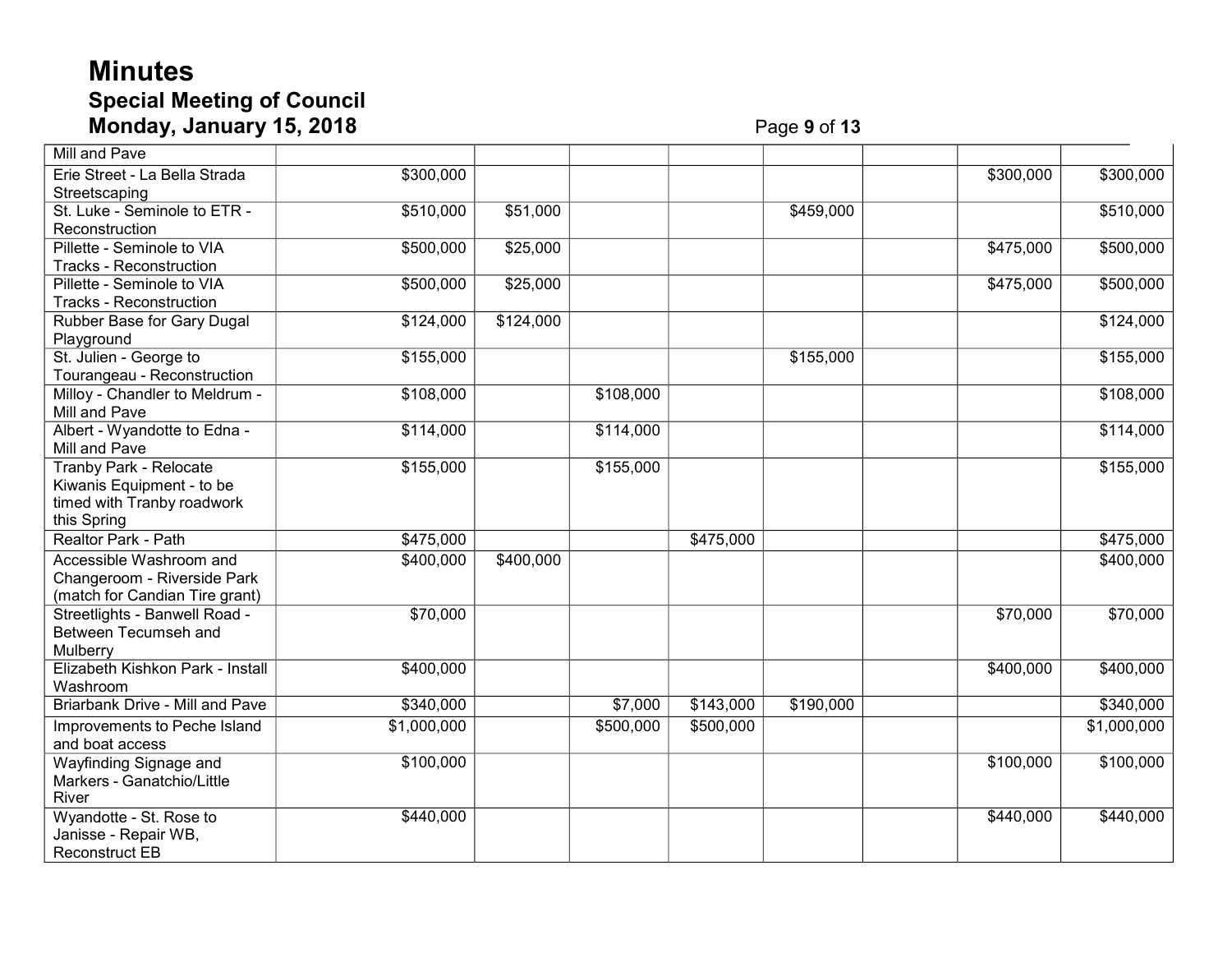# **Minutes Special Meeting of Council Monday, January 15, 2018** Page

# **9** of **13**

| <b>Mill and Pave</b>                                                                                    |             |           |                     |                   |           |                   |             |
|---------------------------------------------------------------------------------------------------------|-------------|-----------|---------------------|-------------------|-----------|-------------------|-------------|
| Erie Street - La Bella Strada<br>Streetscaping                                                          | \$300,000   |           |                     |                   |           | \$300,000         | \$300,000   |
| St. Luke - Seminole to ETR -<br>Reconstruction                                                          | \$510,000   | \$51,000  |                     |                   | \$459,000 |                   | \$510,000   |
| Pillette - Seminole to VIA<br><b>Tracks - Reconstruction</b>                                            | \$500,000   | \$25,000  |                     |                   |           | \$475,000         | \$500,000   |
| Pillette - Seminole to VIA<br><b>Tracks - Reconstruction</b>                                            | \$500,000   | \$25,000  |                     |                   |           | \$475,000         | \$500,000   |
| Rubber Base for Gary Dugal<br>Playground                                                                | \$124,000   | \$124,000 |                     |                   |           |                   | \$124,000   |
| St. Julien - George to<br>Tourangeau - Reconstruction                                                   | \$155,000   |           |                     |                   | \$155,000 |                   | \$155,000   |
| Milloy - Chandler to Meldrum -<br>Mill and Pave                                                         | \$108,000   |           | \$108,000           |                   |           |                   | \$108,000   |
| Albert - Wyandotte to Edna -<br>Mill and Pave                                                           | \$114,000   |           | \$114,000           |                   |           |                   | \$114,000   |
| <b>Tranby Park - Relocate</b><br>Kiwanis Equipment - to be<br>timed with Tranby roadwork<br>this Spring | \$155,000   |           | \$155,000           |                   |           |                   | \$155,000   |
| Realtor Park - Path                                                                                     | \$475,000   |           |                     | \$475,000         |           |                   | \$475,000   |
| Accessible Washroom and<br>Changeroom - Riverside Park<br>(match for Candian Tire grant)                | \$400,000   | \$400,000 |                     |                   |           |                   | \$400,000   |
| Streetlights - Banwell Road -<br>Between Tecumseh and<br>Mulberry                                       | \$70,000    |           |                     |                   |           |                   | \$70,000    |
| Elizabeth Kishkon Park - Install<br>Washroom                                                            | \$400,000   |           |                     |                   |           | $\sqrt{$400,000}$ | \$400,000   |
| <b>Briarbank Drive - Mill and Pave</b>                                                                  | \$340,000   |           | $\overline{$}7,000$ | $\sqrt{$143,000}$ | \$190,000 |                   | \$340,000   |
| Improvements to Peche Island<br>and boat access                                                         | \$1,000,000 |           | \$500,000           | \$500,000         |           |                   | \$1,000,000 |
| Wayfinding Signage and<br>Markers - Ganatchio/Little<br>River                                           | \$100,000   |           |                     |                   |           | \$100,000         | \$100,000   |
| Wyandotte - St. Rose to<br>Janisse - Repair WB,<br><b>Reconstruct EB</b>                                | \$440,000   |           |                     |                   |           | \$440,000         | \$440,000   |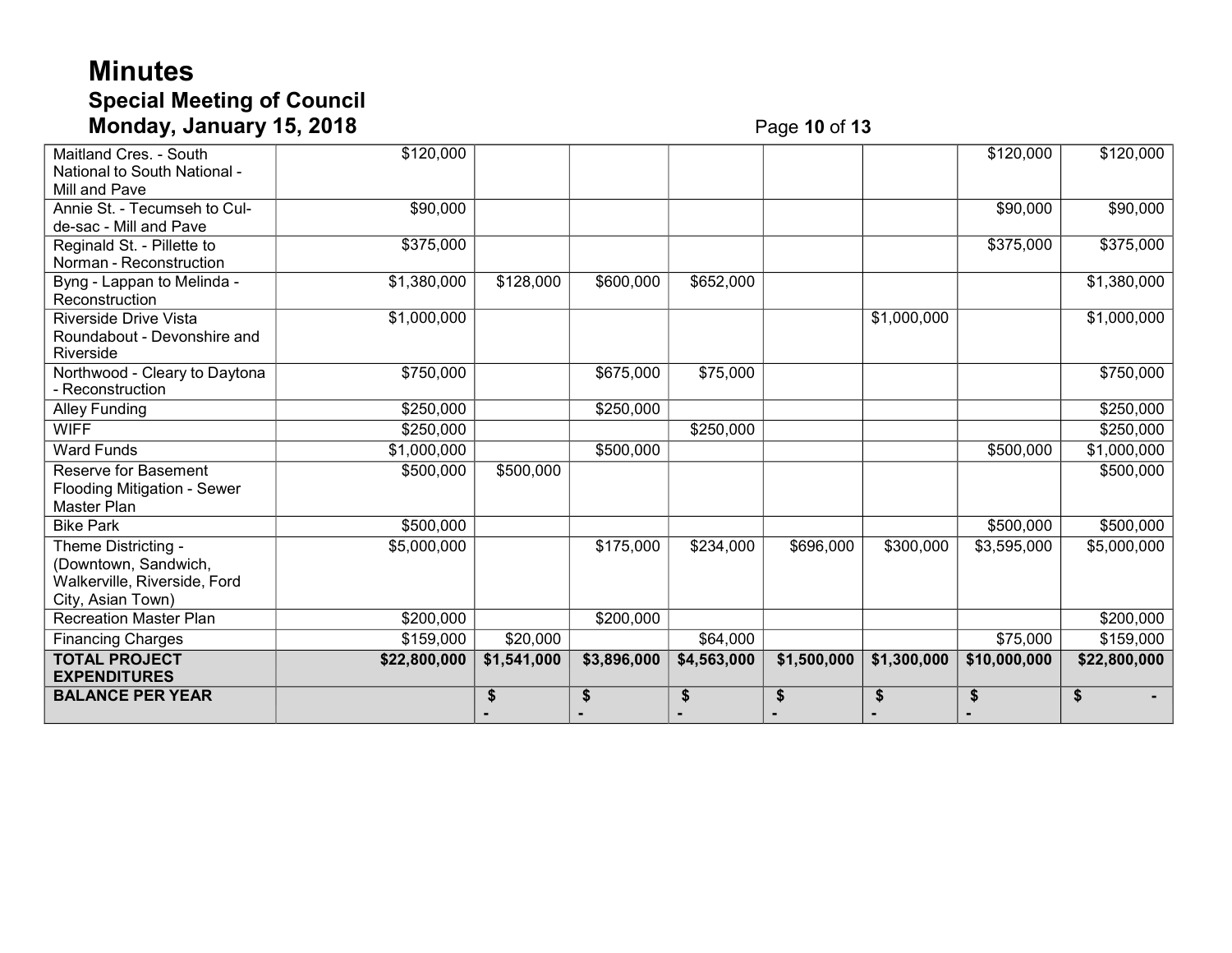# **Minutes Special Meeting of Council Monday, January 15, 2018** Page **10** of **13**

| Maitland Cres. - South             | \$120,000    |             |             |             |             |             | \$120,000    | \$120,000    |
|------------------------------------|--------------|-------------|-------------|-------------|-------------|-------------|--------------|--------------|
| National to South National -       |              |             |             |             |             |             |              |              |
| Mill and Pave                      |              |             |             |             |             |             |              |              |
| Annie St. - Tecumseh to Cul-       | \$90,000     |             |             |             |             |             | \$90,000     | \$90,000     |
| de-sac - Mill and Pave             |              |             |             |             |             |             |              |              |
| Reginald St. - Pillette to         | \$375,000    |             |             |             |             |             | \$375,000    | \$375,000    |
| Norman - Reconstruction            |              |             |             |             |             |             |              |              |
| Byng - Lappan to Melinda -         | \$1,380,000  | \$128,000   | \$600,000   | \$652,000   |             |             |              | \$1,380,000  |
| Reconstruction                     |              |             |             |             |             |             |              |              |
| <b>Riverside Drive Vista</b>       | \$1,000,000  |             |             |             |             | \$1,000,000 |              | \$1,000,000  |
| Roundabout - Devonshire and        |              |             |             |             |             |             |              |              |
| Riverside                          |              |             |             |             |             |             |              |              |
| Northwood - Cleary to Daytona      | \$750,000    |             | \$675,000   | \$75,000    |             |             |              | \$750,000    |
| - Reconstruction                   |              |             |             |             |             |             |              |              |
| <b>Alley Funding</b>               | \$250,000    |             | \$250,000   |             |             |             |              | \$250,000    |
| <b>WIFF</b>                        | \$250,000    |             |             | \$250,000   |             |             |              | \$250,000    |
| <b>Ward Funds</b>                  | \$1,000,000  |             | \$500,000   |             |             |             | \$500,000    | \$1,000,000  |
| Reserve for Basement               | \$500,000    | \$500,000   |             |             |             |             |              | \$500,000    |
| <b>Flooding Mitigation - Sewer</b> |              |             |             |             |             |             |              |              |
| Master Plan                        |              |             |             |             |             |             |              |              |
| <b>Bike Park</b>                   | \$500,000    |             |             |             |             |             | \$500,000    | \$500,000    |
| Theme Districting -                | \$5,000,000  |             | \$175,000   | \$234,000   | \$696,000   | \$300,000   | \$3,595,000  | \$5,000,000  |
| (Downtown, Sandwich,               |              |             |             |             |             |             |              |              |
| Walkerville, Riverside, Ford       |              |             |             |             |             |             |              |              |
| City, Asian Town)                  |              |             |             |             |             |             |              |              |
| <b>Recreation Master Plan</b>      | \$200,000    |             | \$200,000   |             |             |             |              | \$200,000    |
| <b>Financing Charges</b>           | \$159,000    | \$20,000    |             | \$64,000    |             |             | \$75,000     | \$159,000    |
| <b>TOTAL PROJECT</b>               | \$22,800,000 | \$1,541,000 | \$3,896,000 | \$4,563,000 | \$1,500,000 | \$1,300,000 | \$10,000,000 | \$22,800,000 |
| <b>EXPENDITURES</b>                |              |             |             |             |             |             |              |              |
| <b>BALANCE PER YEAR</b>            |              | S           | \$          | \$          | \$          | \$          | \$           | \$           |
|                                    |              |             |             |             |             |             |              |              |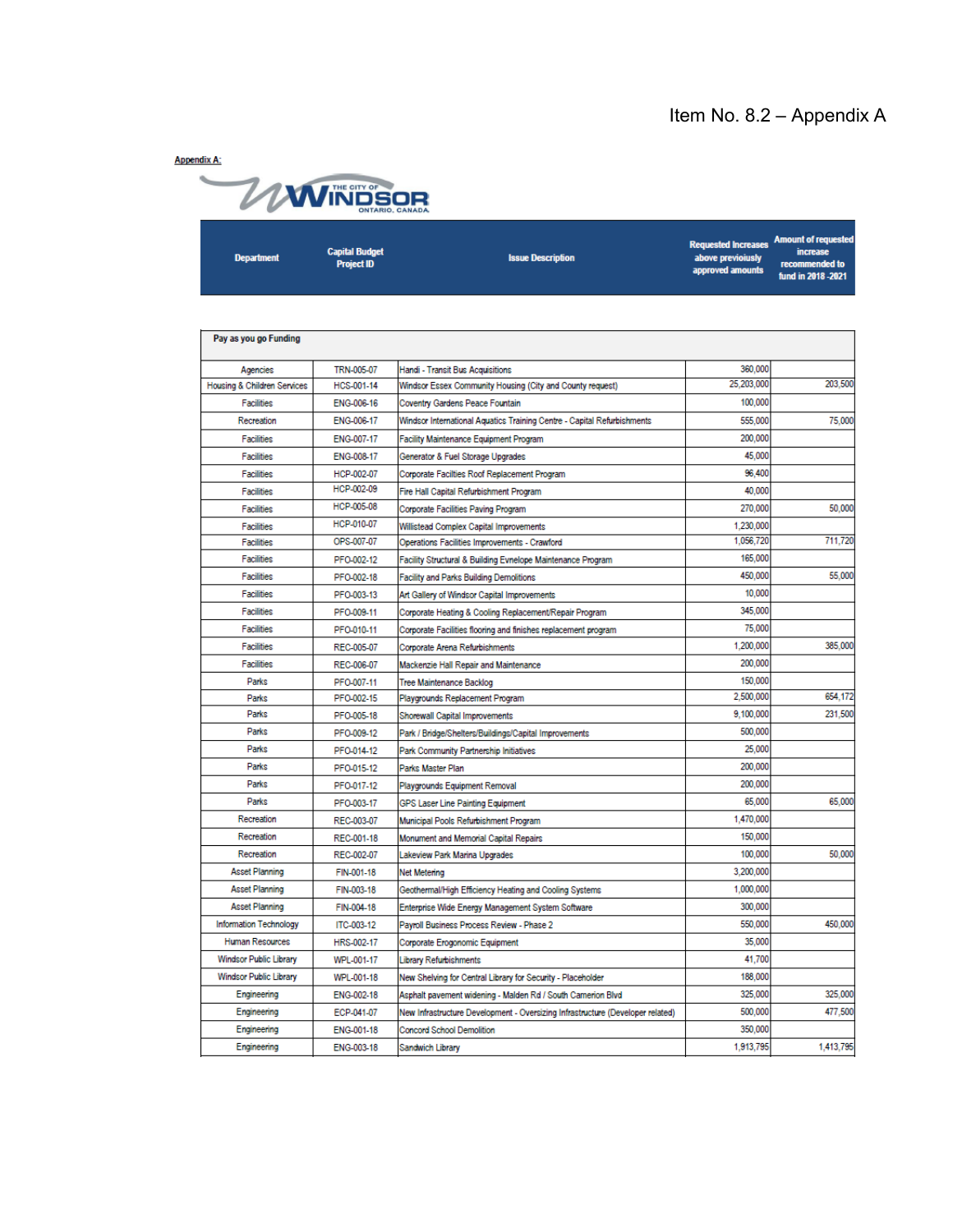#### Item No. 8.2 – Appendix A

**Appendix A:** 



**Amount of request Requested Increases Capital Budget** increase **Department Issue Description** above previoiusly Project ID **ded** to recor approved amounts fund in 2018 - 2021 Pay as you go Funding TRN-005-07 Handi - Transit Bus Acquisitions 360,000 Agencies 25,203,000 203,500 Housing & Children Services HCS-001-14 Windsor Essex Community Housing (City and County request) ENG-006-16 100,000 Facilities Coventry Gardens Peace Fountain ENG-006-17 Windsor International Aquatics Training Centre - Capital Refurbishments 555,000 75,000 Recreation 200,000 Facilities ENG-007-17 Facility Maintenance Equipment Program ENG-008-17 45,000 Facilities Generator & Fuel Storage Upgrades 96,400 Facilities HCP-002-07 Corporate Facilties Roof Replacement Program HCP-002-09 40,000 Fire Hall Capital Refurbishment Program **Facilities** HCP-005-08 270,000 50,000 Facilities Corporate Facilities Paving Program HCP-010-07 1,230,000 **Facilities** Willistead Complex Capital Improvements 711,720 OPS-007-07 Operations Facilities Improvements - Crawford 1056720 **Facilities Facilities** PFO-002-12 Facility Structural & Building Evnelope Maintenance Program 165,000 450,000 55,000 Facilities Facility and Parks Building Demolitions PFO-002-18 10,000 **Facilities** PFO-003-13 Art Gallery of Windsor Capital Improvements 345,000 Facilities PFO-009-11 Corporate Heating & Cooling Replacement/Repair Program Facilities 75,000 PFO-010-11 Corporate Facilities flooring and finishes replacement program **Facilities** 1,200,000 385,000 REC-005-07 Corporate Arena Refurbishments 200,000 **Facilities** REC-006-07 Mackenzie Hall Repair and Maintenance Parks PFO-007-11 Tree Maintenance Backlog 150,000 2 500 000 654.172 Parks PFO-002-15 Playgrounds Replacement Program Parks 9,100,000 231,500 PFO-005-18 Shorewall Capital Improvements 500,000 Parks PFO-009-12 Park / Bridge/Shelters/Buildings/Capital Improvements Parks 25,000 PFO-014-12 Park Community Partnership Initiatives 200,000 Parks PFO-015-12 Parks Master Plan Parks PFO-017-12 Playgrounds Equipment Removal 200,000 65,000 Parks 65,000 PFO-003-17 **GPS Laser Line Painting Equipment** Recreation 1.470,000 REC-003-07 Municipal Pools Refurbishment Program 150,000 Recreation REC-001-18 Monument and Memorial Capital Repairs Recreation 100,000 50,000 REC-002-07 Lakeview Park Marina Upgrades **Asset Planning** 3,200,000 FIN-001-18 Net Metering 1.000,000 **Asset Planning** FIN-003-18 Geothermal/High Efficiency Heating and Cooling Systems **Asset Planning** FIN-004-18 Enterprise Wide Energy Management System Software 300,000 550,000 450,000 Information Technology ITC-003-12 Payroll Business Process Review - Phase 2 35,000 **Human Resources** HRS-002-17 Corporate Erogonomic Equipment 41,700 Windsor Public Library WPL-001-17 Library Refurbishments Windsor Public Library 188,000 WPL-001-18 New Shelving for Central Library for Security - Placeholder 325,000 325,000 Engineering ENG-002-18 Asphalt pavement widening - Malden Rd / South Camerion Blvd 500,000 477,500 Engineering ECP-041-07 New Infrastructure Development - Oversizing Infrastructure (Developer related) 350,000 Engineering ENG-001-18 Concord School Demolition Engineering 1,913,795 1,413,795 ENG-003-18 Sandwich Library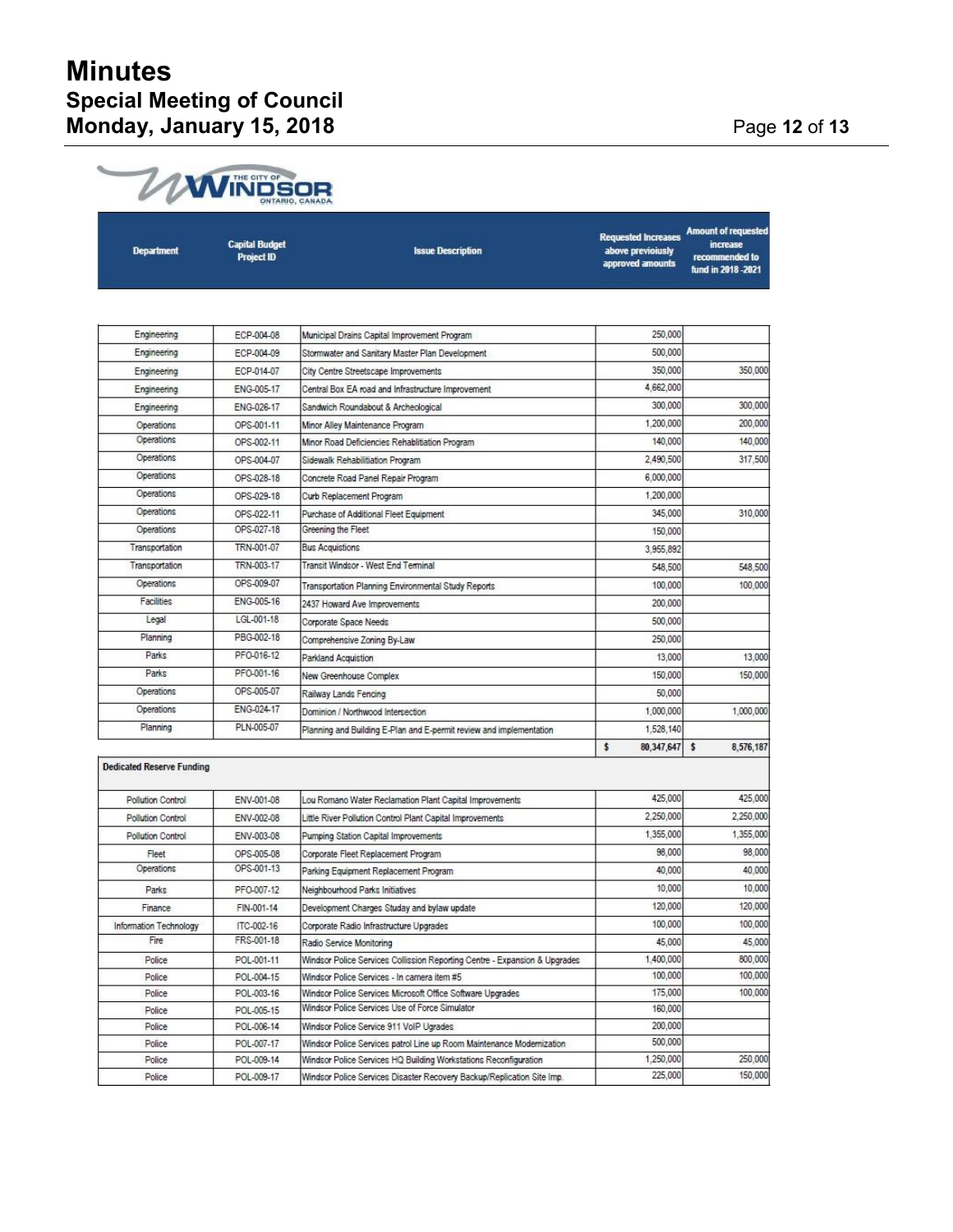# **Minutes Special Meeting of Council Monday, January 15, 2018** Page **12** of **13**

| <b>Department</b>                | <b>Capital Budget</b><br><b>Project ID</b> | <b>Issue Description</b>                                                   | <b>Requested Increases</b><br>above previoiusly<br>approved amounts | <b>Amount of requested</b><br><i>increase</i><br>recommended to<br>fund in 2018 - 2021 |
|----------------------------------|--------------------------------------------|----------------------------------------------------------------------------|---------------------------------------------------------------------|----------------------------------------------------------------------------------------|
|                                  |                                            |                                                                            |                                                                     |                                                                                        |
| Engineering                      | ECP-004-08                                 | Municipal Drains Capital Improvement Program                               | 250,000                                                             |                                                                                        |
| Engineering                      | ECP-004-09                                 | Stormwater and Sanitary Master Plan Development                            | 500,000                                                             |                                                                                        |
| Engineering                      | ECP-014-07                                 | City Centre Streetscape Improvements                                       | 350,000                                                             | 350,000                                                                                |
| Engineering                      | ENG-005-17                                 | Central Box EA road and Infrastructure Improvement                         | 4,662,000                                                           |                                                                                        |
| Engineering                      | ENG-026-17                                 | Sandwich Roundabout & Archeological                                        | 300,000                                                             | 300,000                                                                                |
| Operations                       | OPS-001-11                                 | Minor Alley Maintenance Program                                            | 1,200,000                                                           | 200,000                                                                                |
| Operations                       | OPS-002-11                                 | Minor Road Deficiencies Rehablitiation Program                             | 140,000                                                             | 140,000                                                                                |
| Operations                       | OPS-004-07                                 | Sidewalk Rehabilitiation Program                                           | 2,490,500                                                           | 317,500                                                                                |
| Operations                       | OPS-028-18                                 | Concrete Road Panel Repair Program                                         | 6,000,000                                                           |                                                                                        |
| Operations                       | OPS-029-18                                 | Curb Replacement Program                                                   | 1,200,000                                                           |                                                                                        |
| Operations                       |                                            |                                                                            | 345,000                                                             | 310,000                                                                                |
| Operations                       | OPS-022-11<br>OPS-027-18                   | Purchase of Additional Fleet Equipment<br>Greening the Fleet               |                                                                     |                                                                                        |
| Transportation                   | TRN-001-07                                 | <b>Bus Acquistions</b>                                                     | 150,000                                                             |                                                                                        |
|                                  | TRN-003-17                                 | Transit Windsor - West End Terminal                                        | 3.955.892                                                           |                                                                                        |
| Transportation                   |                                            |                                                                            | 548,500                                                             | 548,500                                                                                |
| Operations                       | OPS-009-07                                 | Transportation Planning Environmental Study Reports                        | 100,000                                                             | 100,000                                                                                |
| Facilities                       | ENG-005-16                                 | 2437 Howard Ave Improvements                                               | 200,000                                                             |                                                                                        |
| Legal                            | LGL-001-18                                 | Corporate Space Needs                                                      | 500,000                                                             |                                                                                        |
| Planning                         | PBG-002-18                                 | Comprehensive Zoning By-Law                                                | 250,000                                                             |                                                                                        |
| Parks                            | PFO-016-12                                 | Parkland Acquistion                                                        | 13,000                                                              | 13,000                                                                                 |
| Parks                            | PFO-001-16                                 | New Greenhouse Complex                                                     | 150,000                                                             | 150,000                                                                                |
| Operations                       | OPS-005-07                                 | Railway Lands Fencing                                                      | 50,000                                                              |                                                                                        |
| Operations                       | ENG-024-17                                 | Dominion / Northwood Intersection                                          | 1,000,000                                                           | 1,000,000                                                                              |
| Planning                         | PLN-005-07                                 | Planning and Building E-Plan and E-permit review and implementation        | 1,528,140                                                           |                                                                                        |
|                                  |                                            |                                                                            | \$<br>80,347,647                                                    | s<br>8,576,187                                                                         |
| <b>Dedicated Reserve Funding</b> |                                            |                                                                            |                                                                     |                                                                                        |
| Pollution Control                | ENV-001-08                                 | Lou Romano Water Reclamation Plant Capital Improvements                    | 425,000                                                             | 425,000                                                                                |
| Pollution Control                | ENV-002-08                                 | Little River Pollution Control Plant Capital Improvements                  | 2,250,000                                                           | 2,250,000                                                                              |
|                                  |                                            |                                                                            | 1,355,000                                                           | 1,355,000                                                                              |
| Pollution Control                | ENV-003-08                                 | Pumping Station Capital Improvements                                       | 98,000                                                              | 98,000                                                                                 |
| Fleet<br>Operations              | OPS-005-08<br>OPS-001-13                   | Corporate Fleet Replacement Program                                        |                                                                     |                                                                                        |
|                                  |                                            | Parking Equipment Replacement Program                                      | 40,000                                                              | 40,000                                                                                 |
| Parks                            | PFO-007-12                                 | Neighbourhood Parks Initiatives                                            | 10,000                                                              | 10,000                                                                                 |
| Finance                          | FIN-001-14                                 | Development Charges Studay and bylaw update                                | 120,000                                                             | 120,000                                                                                |
| Information Technology           | ITC-002-16                                 | Corporate Radio Infrastructure Upgrades                                    | 100,000                                                             | 100,000                                                                                |
| Fire                             | FRS-001-18                                 | Radio Service Monitoring                                                   | 45,000                                                              | 45,000                                                                                 |
| Police                           | POL-001-11                                 | Windsor Police Services Collission Reporting Centre - Expansion & Upgrades | 1,400,000                                                           | 800,000                                                                                |
| Police                           | POL-004-15                                 | Windsor Police Services - In camera item #5                                | 100,000                                                             | 100,000                                                                                |
| Police                           | POL-003-16                                 | Windsor Police Services Microsoft Office Software Upgrades                 | 175,000                                                             | 100,000                                                                                |
| Police                           | POL-005-15                                 | Windsor Police Services Use of Force Simulator                             | 160,000                                                             |                                                                                        |
| Police                           | POL-006-14                                 | Windsor Police Service 911 VolP Ugrades                                    | 200,000                                                             |                                                                                        |
| Police                           | POL-007-17                                 | Windsor Police Services patrol Line up Room Maintenance Modernization      | 500,000                                                             |                                                                                        |
| Police                           | POL-009-14                                 | Windsor Police Services HQ Building Workstations Reconfiguration           | 1,250,000<br>225,000                                                | 250,000<br>150,000                                                                     |
| Police                           | POL-009-17                                 | Windsor Police Services Disaster Recovery Backup/Replication Site Imp.     |                                                                     |                                                                                        |